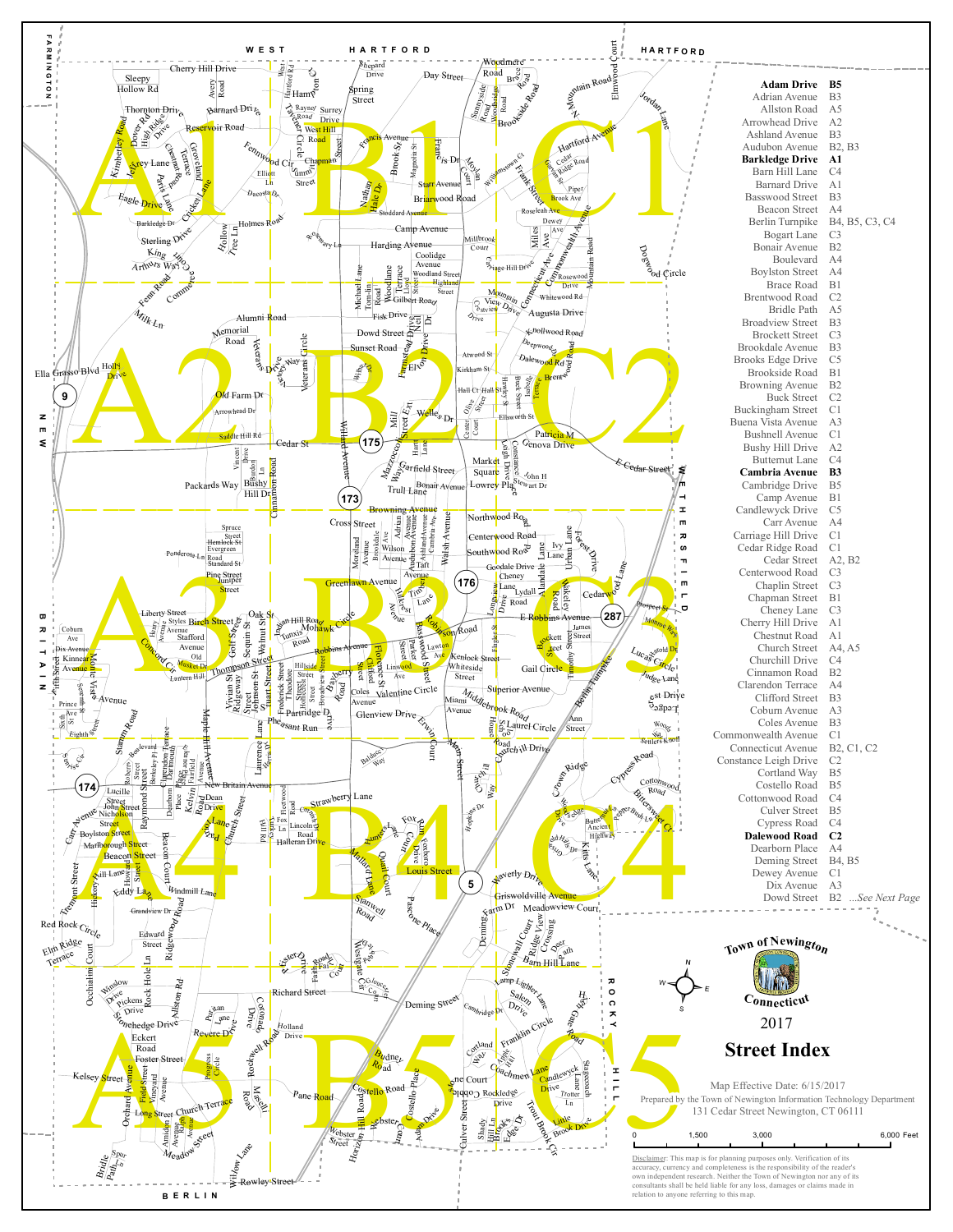